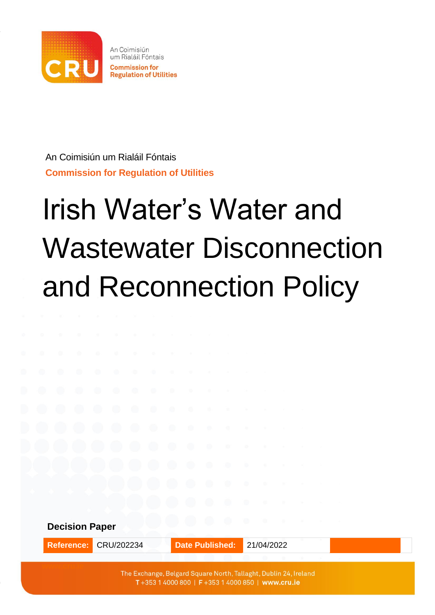

An Coimisiún um Rialáil Fóntais **Commission for Regulation of Utilities**

# Irish Water's Water and Wastewater Disconnection and Reconnection Policy

**Decision Paper**

**Reference:** CRU/202234 **Date Published:** 21/04/2022

The Exchange, Belgard Square North, Tallaght, Dublin 24, Ireland T+353 1 4000 800 | F+353 1 4000 850 | www.cru.ie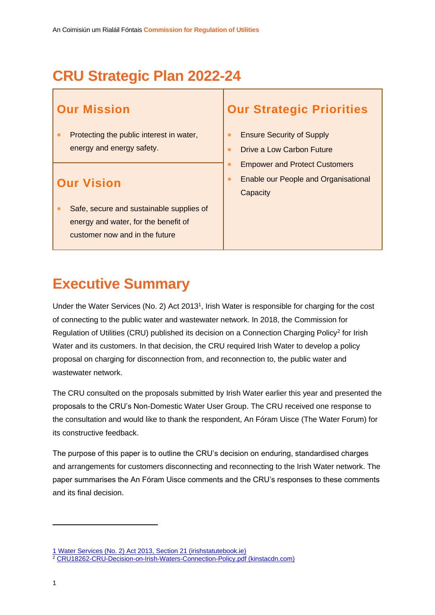## **CRU Strategic Plan 2022-24**

## <span id="page-1-0"></span>**Our Mission**

• Protecting the public interest in water, energy and energy safety.

### <span id="page-1-2"></span>**Our Vision**

• Safe, secure and sustainable supplies of energy and water, for the benefit of customer now and in the future

### <span id="page-1-1"></span>**Our Strategic Priorities**

- Ensure Security of Supply
- Drive a Low Carbon Future
- Empower and Protect Customers
- Enable our People and Organisational **Capacity**

## **Executive Summary**

Under the Water Services (No. 2) Act 2013<sup>1</sup>, Irish Water is responsible for charging for the cost of connecting to the public water and wastewater network. In 2018, the Commission for Regulation of Utilities (CRU) published its decision on a Connection Charging Policy<sup>2</sup> for Irish Water and its customers. In that decision, the CRU required Irish Water to develop a policy proposal on charging for disconnection from, and reconnection to, the public water and wastewater network.

The CRU consulted on the proposals submitted by Irish Water earlier this year and presented the proposals to the CRU's Non-Domestic Water User Group. The CRU received one response to the consultation and would like to thank the respondent, An Fóram Uisce (The Water Forum) for its constructive feedback.

The purpose of this paper is to outline the CRU's decision on enduring, standardised charges and arrangements for customers disconnecting and reconnecting to the Irish Water network. The paper summarises the An Fóram Uisce comments and the CRU's responses to these comments and its final decision.

<sup>1</sup> [Water Services \(No. 2\) Act 2013, Section 21 \(irishstatutebook.ie\)](https://www.irishstatutebook.ie/eli/2013/act/50/section/21/enacted/en/html#sec21)

<sup>2</sup> [CRU18262-CRU-Decision-on-Irish-Waters-Connection-Policy.pdf \(kinstacdn.com\)](https://mk0cruieqdjtk6utoah.kinstacdn.com/wp-content/uploads/2019/01/CRU18262-CRU-Decision-on-Irish-Waters-Connection-Policy.pdf)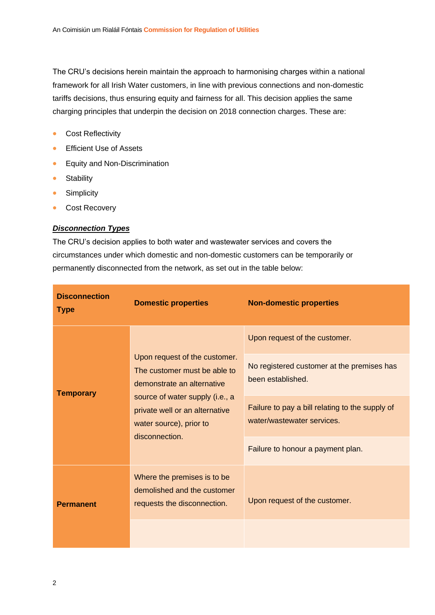The CRU's decisions herein maintain the approach to harmonising charges within a national framework for all Irish Water customers, in line with previous connections and non-domestic tariffs decisions, thus ensuring equity and fairness for all. This decision applies the same charging principles that underpin the decision on 2018 connection charges. These are:

- Cost Reflectivity
- **•** Efficient Use of Assets
- Equity and Non-Discrimination
- Stability
- Simplicity
- Cost Recovery

#### *Disconnection Types*

The CRU's decision applies to both water and wastewater services and covers the circumstances under which domestic and non-domestic customers can be temporarily or permanently disconnected from the network, as set out in the table below:

| <b>Disconnection</b><br><b>Type</b> | <b>Domestic properties</b>                                                                                                                                                                                    | <b>Non-domestic properties</b>                                                |  |
|-------------------------------------|---------------------------------------------------------------------------------------------------------------------------------------------------------------------------------------------------------------|-------------------------------------------------------------------------------|--|
|                                     | Upon request of the customer.<br>The customer must be able to<br>demonstrate an alternative<br>source of water supply (i.e., a<br>private well or an alternative<br>water source), prior to<br>disconnection. | Upon request of the customer.                                                 |  |
| <b>Temporary</b>                    |                                                                                                                                                                                                               | No registered customer at the premises has<br>been established.               |  |
|                                     |                                                                                                                                                                                                               | Failure to pay a bill relating to the supply of<br>water/wastewater services. |  |
|                                     |                                                                                                                                                                                                               | Failure to honour a payment plan.                                             |  |
| <b>Permanent</b>                    | Where the premises is to be<br>demolished and the customer<br>requests the disconnection.                                                                                                                     | Upon request of the customer.                                                 |  |
|                                     |                                                                                                                                                                                                               |                                                                               |  |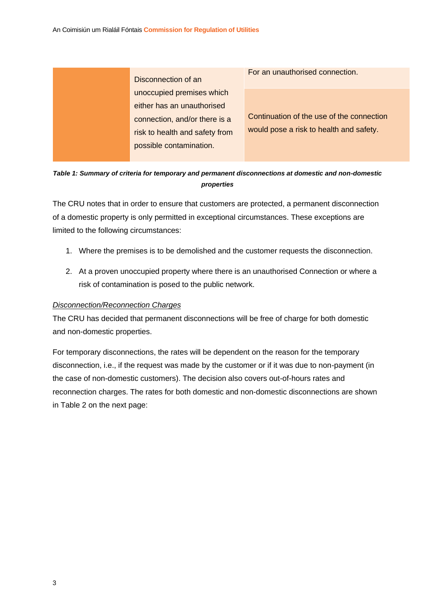| Disconnection of an            | For an unauthorised connection.           |
|--------------------------------|-------------------------------------------|
| unoccupied premises which      |                                           |
| either has an unauthorised     |                                           |
| connection, and/or there is a  | Continuation of the use of the connection |
| risk to health and safety from | would pose a risk to health and safety.   |
| possible contamination.        |                                           |

*Table 1: Summary of criteria for temporary and permanent disconnections at domestic and non-domestic properties*

The CRU notes that in order to ensure that customers are protected, a permanent disconnection of a domestic property is only permitted in exceptional circumstances. These exceptions are limited to the following circumstances:

- 1. Where the premises is to be demolished and the customer requests the disconnection.
- 2. At a proven unoccupied property where there is an unauthorised Connection or where a risk of contamination is posed to the public network.

#### *Disconnection/Reconnection Charges*

The CRU has decided that permanent disconnections will be free of charge for both domestic and non-domestic properties.

For temporary disconnections, the rates will be dependent on the reason for the temporary disconnection, i.e., if the request was made by the customer or if it was due to non-payment (in the case of non-domestic customers). The decision also covers out-of-hours rates and reconnection charges. The rates for both domestic and non-domestic disconnections are shown in Table 2 on the next page: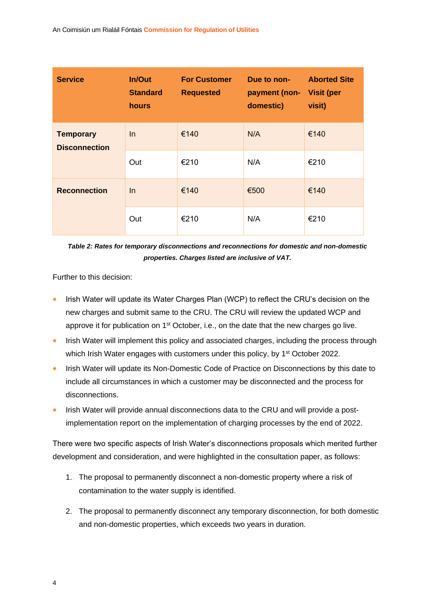| <b>Service</b>                           | In/Out<br><b>Standard</b><br><b>hours</b> | <b>For Customer</b><br><b>Requested</b> | Due to non-<br>payment (non- Visit (per<br>domestic) | <b>Aborted Site</b><br>visit) |
|------------------------------------------|-------------------------------------------|-----------------------------------------|------------------------------------------------------|-------------------------------|
| <b>Temporary</b><br><b>Disconnection</b> | In.                                       | €140                                    | N/A                                                  | €140                          |
|                                          | Out                                       | €210                                    | N/A                                                  | €210                          |
| <b>Reconnection</b>                      | In                                        | €140                                    | €500                                                 | €140                          |
|                                          | Out                                       | €210                                    | N/A                                                  | €210                          |

*Table 2: Rates for temporary disconnections and reconnections for domestic and non-domestic properties. Charges listed are inclusive of VAT.*

Further to this decision:

- Irish Water will update its Water Charges Plan (WCP) to reflect the CRU's decision on the new charges and submit same to the CRU. The CRU will review the updated WCP and approve it for publication on 1<sup>st</sup> October, i.e., on the date that the new charges go live.
- Irish Water will implement this policy and associated charges, including the process through which Irish Water engages with customers under this policy, by 1<sup>st</sup> October 2022.
- Irish Water will update its Non-Domestic Code of Practice on Disconnections by this date to include all circumstances in which a customer may be disconnected and the process for disconnections.
- Irish Water will provide annual disconnections data to the CRU and will provide a postimplementation report on the implementation of charging processes by the end of 2022.

There were two specific aspects of Irish Water's disconnections proposals which merited further development and consideration, and were highlighted in the consultation paper, as follows:

- 1. The proposal to permanently disconnect a non-domestic property where a risk of contamination to the water supply is identified.
- 2. The proposal to permanently disconnect any temporary disconnection, for both domestic and non-domestic properties, which exceeds two years in duration.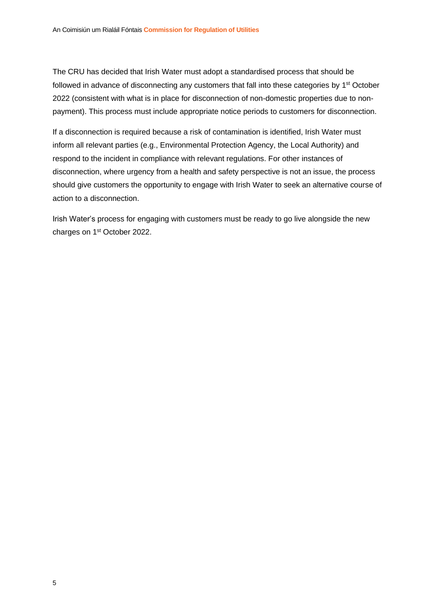The CRU has decided that Irish Water must adopt a standardised process that should be followed in advance of disconnecting any customers that fall into these categories by 1<sup>st</sup> October 2022 (consistent with what is in place for disconnection of non-domestic properties due to nonpayment). This process must include appropriate notice periods to customers for disconnection.

If a disconnection is required because a risk of contamination is identified, Irish Water must inform all relevant parties (e.g., Environmental Protection Agency, the Local Authority) and respond to the incident in compliance with relevant regulations. For other instances of disconnection, where urgency from a health and safety perspective is not an issue, the process should give customers the opportunity to engage with Irish Water to seek an alternative course of action to a disconnection.

Irish Water's process for engaging with customers must be ready to go live alongside the new charges on 1st October 2022.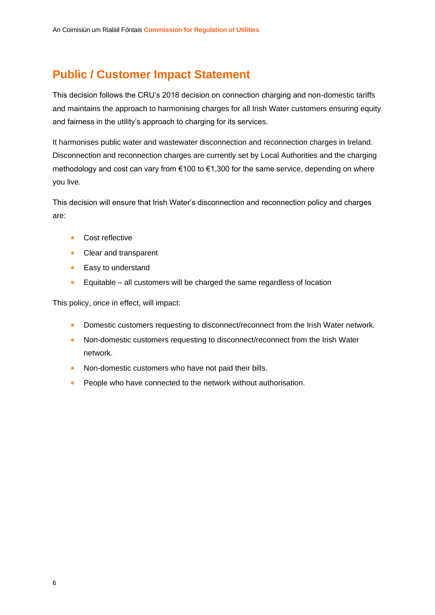## **Public / Customer Impact Statement**

This decision follows the CRU's 2018 decision on connection charging and non-domestic tariffs and maintains the approach to harmonising charges for all Irish Water customers ensuring equity and fairness in the utility's approach to charging for its services.

It harmonises public water and wastewater disconnection and reconnection charges in Ireland. Disconnection and reconnection charges are currently set by Local Authorities and the charging methodology and cost can vary from €100 to €1,300 for the same service, depending on where you live.

This decision will ensure that Irish Water's disconnection and reconnection policy and charges are:

- Cost reflective
- Clear and transparent
- Easy to understand
- Equitable all customers will be charged the same regardless of location

This policy, once in effect, will impact:

- Domestic customers requesting to disconnect/reconnect from the Irish Water network.
- Non-domestic customers requesting to disconnect/reconnect from the Irish Water network.
- Non-domestic customers who have not paid their bills.
- People who have connected to the network without authorisation.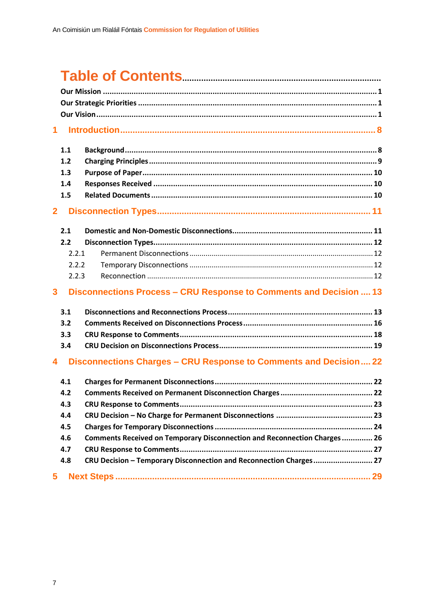## 

| $\mathbf 1$             |                                                      |                                                                                                                                                |
|-------------------------|------------------------------------------------------|------------------------------------------------------------------------------------------------------------------------------------------------|
|                         | 1.1<br>1.2<br>1.3<br>1.4<br>1.5                      |                                                                                                                                                |
| $\overline{2}$          |                                                      |                                                                                                                                                |
|                         | 2.1<br>2.2<br>2.2.1<br>2.2.2<br>2.2.3                |                                                                                                                                                |
| $\overline{\mathbf{3}}$ |                                                      | Disconnections Process - CRU Response to Comments and Decision  13                                                                             |
| 4                       | 3.1<br>3.2<br>3.3<br>3.4                             | Disconnections Charges - CRU Response to Comments and Decision 22                                                                              |
|                         | 4.1<br>4.2<br>4.3<br>4.4<br>4.5<br>4.6<br>4.7<br>4.8 | Comments Received on Temporary Disconnection and Reconnection Charges 26<br>CRU Decision - Temporary Disconnection and Reconnection Charges 27 |
| 5                       |                                                      |                                                                                                                                                |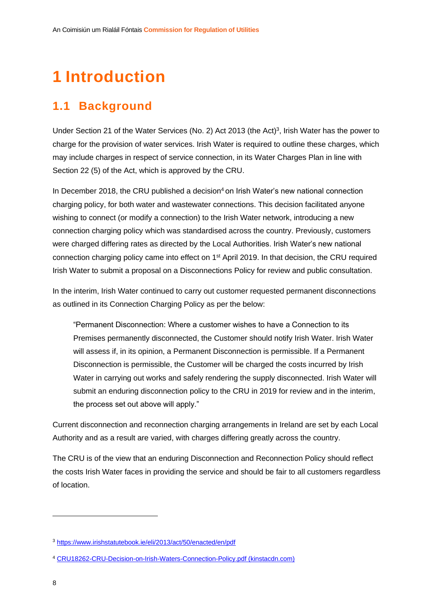## <span id="page-8-0"></span>**1 Introduction**

### <span id="page-8-1"></span>**1.1 Background**

Under Section 21 of the Water Services (No. 2) Act 2013 (the Act)<sup>3</sup>, Irish Water has the power to charge for the provision of water services. Irish Water is required to outline these charges, which may include charges in respect of service connection, in its Water Charges Plan in line with Section 22 (5) of the Act, which is approved by the CRU.

In December 2018, the CRU published a decision<sup>4</sup> on Irish Water's new national connection charging policy, for both water and wastewater connections. This decision facilitated anyone wishing to connect (or modify a connection) to the Irish Water network, introducing a new connection charging policy which was standardised across the country. Previously, customers were charged differing rates as directed by the Local Authorities. Irish Water's new national connection charging policy came into effect on 1<sup>st</sup> April 2019. In that decision, the CRU required Irish Water to submit a proposal on a Disconnections Policy for review and public consultation.

In the interim, Irish Water continued to carry out customer requested permanent disconnections as outlined in its Connection Charging Policy as per the below:

"Permanent Disconnection: Where a customer wishes to have a Connection to its Premises permanently disconnected, the Customer should notify Irish Water. Irish Water will assess if, in its opinion, a Permanent Disconnection is permissible. If a Permanent Disconnection is permissible, the Customer will be charged the costs incurred by Irish Water in carrying out works and safely rendering the supply disconnected. Irish Water will submit an enduring disconnection policy to the CRU in 2019 for review and in the interim, the process set out above will apply."

Current disconnection and reconnection charging arrangements in Ireland are set by each Local Authority and as a result are varied, with charges differing greatly across the country.

The CRU is of the view that an enduring Disconnection and Reconnection Policy should reflect the costs Irish Water faces in providing the service and should be fair to all customers regardless of location.

<sup>3</sup> <https://www.irishstatutebook.ie/eli/2013/act/50/enacted/en/pdf>

<sup>4</sup> [CRU18262-CRU-Decision-on-Irish-Waters-Connection-Policy.pdf \(kinstacdn.com\)](https://mk0cruieqdjtk6utoah.kinstacdn.com/wp-content/uploads/2019/01/CRU18262-CRU-Decision-on-Irish-Waters-Connection-Policy.pdf)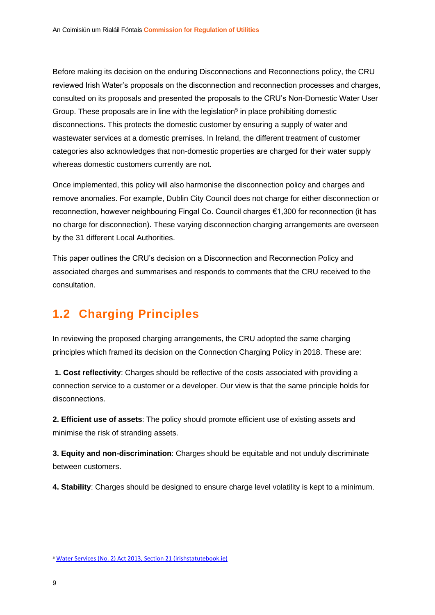Before making its decision on the enduring Disconnections and Reconnections policy, the CRU reviewed Irish Water's proposals on the disconnection and reconnection processes and charges, consulted on its proposals and presented the proposals to the CRU's Non-Domestic Water User Group. These proposals are in line with the legislation<sup>5</sup> in place prohibiting domestic disconnections. This protects the domestic customer by ensuring a supply of water and wastewater services at a domestic premises. In Ireland, the different treatment of customer categories also acknowledges that non-domestic properties are charged for their water supply whereas domestic customers currently are not.

Once implemented, this policy will also harmonise the disconnection policy and charges and remove anomalies. For example, Dublin City Council does not charge for either disconnection or reconnection, however neighbouring Fingal Co. Council charges €1,300 for reconnection (it has no charge for disconnection). These varying disconnection charging arrangements are overseen by the 31 different Local Authorities.

This paper outlines the CRU's decision on a Disconnection and Reconnection Policy and associated charges and summarises and responds to comments that the CRU received to the consultation.

## <span id="page-9-0"></span>**1.2 Charging Principles**

In reviewing the proposed charging arrangements, the CRU adopted the same charging principles which framed its decision on the Connection Charging Policy in 2018. These are:

**1. Cost reflectivity**: Charges should be reflective of the costs associated with providing a connection service to a customer or a developer. Our view is that the same principle holds for disconnections.

**2. Efficient use of assets**: The policy should promote efficient use of existing assets and minimise the risk of stranding assets.

**3. Equity and non-discrimination**: Charges should be equitable and not unduly discriminate between customers.

**4. Stability**: Charges should be designed to ensure charge level volatility is kept to a minimum.

<sup>5</sup> [Water Services \(No. 2\) Act 2013, Section 21 \(irishstatutebook.ie\)](https://www.irishstatutebook.ie/eli/2013/act/50/section/21/enacted/en/html#sec21)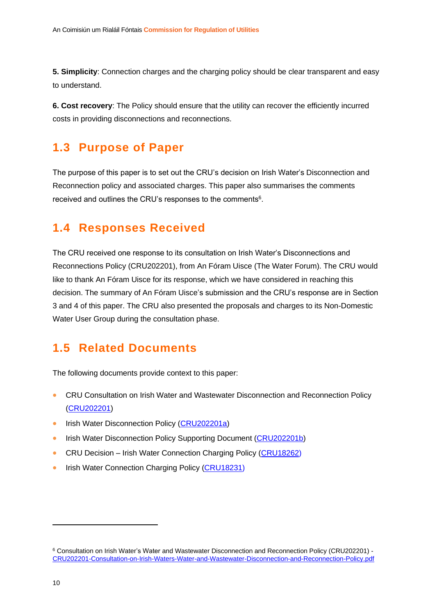**5. Simplicity**: Connection charges and the charging policy should be clear transparent and easy to understand.

**6. Cost recovery**: The Policy should ensure that the utility can recover the efficiently incurred costs in providing disconnections and reconnections.

## <span id="page-10-0"></span>**1.3 Purpose of Paper**

The purpose of this paper is to set out the CRU's decision on Irish Water's Disconnection and Reconnection policy and associated charges. This paper also summarises the comments received and outlines the CRU's responses to the comments<sup>6</sup>.

### <span id="page-10-1"></span>**1.4 Responses Received**

The CRU received one response to its consultation on Irish Water's Disconnections and Reconnections Policy [\(CRU202201\)](https://www.cru.ie/wp-content/uploads/2022/01/CRU202201-Consultation-on-Irish-Waters-Water-and-Wastewater-Disconnection-and-Reconnection-Policy.pdf), from An Fóram Uisce (The Water Forum). The CRU would like to thank An Fóram Uisce for its response, which we have considered in reaching this decision. The summary of An Fóram Uisce's submission and the CRU's response are in Section 3 and 4 of this paper. The CRU also presented the proposals and charges to its Non-Domestic Water User Group during the consultation phase.

### <span id="page-10-2"></span>**1.5 Related Documents**

The following documents provide context to this paper:

- CRU Consultation on Irish Water and Wastewater Disconnection and Reconnection Policy [\(CRU202201\)](https://www.cru.ie/wp-content/uploads/2022/01/CRU202201-Consultation-on-Irish-Waters-Water-and-Wastewater-Disconnection-and-Reconnection-Policy.pdf)
- Irish Water Disconnection Policy [\(CRU202201a\)](https://www.cru.ie/wp-content/uploads/2022/01/CRU202201a-Irish-Water-Disconnection-Policy.pdf)
- Irish Water Disconnection Policy Supporting Document [\(CRU202201b\)](https://www.cru.ie/wp-content/uploads/2022/01/CRU202201b-Irish-Water-Disconnection-Policy-Supporting-Document.pdf)
- CRU Decision Irish Water Connection Charging Policy [\(CRU18262\)](https://www.cru.ie/wp-content/uploads/2019/01/CRU18262-CRU-Decision-on-Irish-Waters-Connection-Policy.pdf)
- Irish Water Connection Charging Policy (CR[U18231\)](https://www.cru.ie/wp-content/uploads/2018/10/CRU18231-CRU-Proposed-Decision-Paper-Irish-Waters-Proposed-Connection-Policy.pdf)

<sup>6</sup> Consultation on Irish Water's Water and Wastewater Disconnection and Reconnection Policy (CRU202201) - [CRU202201-Consultation-on-Irish-Waters-Water-and-Wastewater-Disconnection-and-Reconnection-Policy.pdf](https://www.cru.ie/wp-content/uploads/2022/01/CRU202201-Consultation-on-Irish-Waters-Water-and-Wastewater-Disconnection-and-Reconnection-Policy.pdf)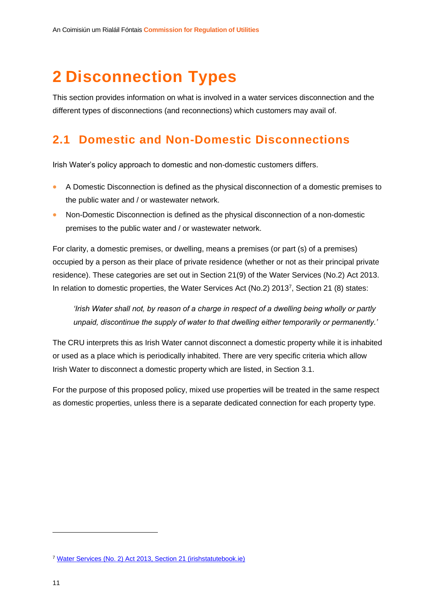## <span id="page-11-0"></span>**2 Disconnection Types**

This section provides information on what is involved in a water services disconnection and the different types of disconnections (and reconnections) which customers may avail of.

### <span id="page-11-1"></span>**2.1 Domestic and Non-Domestic Disconnections**

Irish Water's policy approach to domestic and non-domestic customers differs.

- A Domestic Disconnection is defined as the physical disconnection of a domestic premises to the public water and / or wastewater network.
- Non-Domestic Disconnection is defined as the physical disconnection of a non-domestic premises to the public water and / or wastewater network.

For clarity, a domestic premises, or dwelling, means a premises (or part (s) of a premises) occupied by a person as their place of private residence (whether or not as their principal private residence). These categories are set out in Section 21(9) of the Water Services (No.2) Act 2013. In relation to domestic properties, the Water Services Act (No.2) 2013<sup>7</sup> , Section 21 (8) states:

*'Irish Water shall not, by reason of a charge in respect of a dwelling being wholly or partly unpaid, discontinue the supply of water to that dwelling either temporarily or permanently.'*

The CRU interprets this as Irish Water cannot disconnect a domestic property while it is inhabited or used as a place which is periodically inhabited. There are very specific criteria which allow Irish Water to disconnect a domestic property which are listed, in Section 3.1.

For the purpose of this proposed policy, mixed use properties will be treated in the same respect as domestic properties, unless there is a separate dedicated connection for each property type.

<sup>7</sup> [Water Services \(No. 2\) Act 2013, Section 21 \(irishstatutebook.ie\)](https://www.irishstatutebook.ie/eli/2013/act/50/section/21/enacted/en/html#sec21)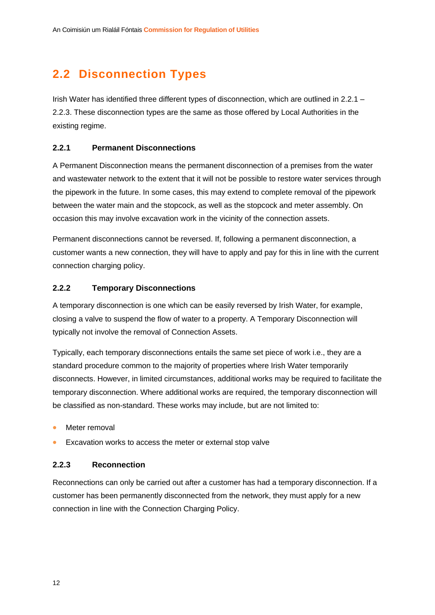## <span id="page-12-0"></span>**2.2 Disconnection Types**

Irish Water has identified three different types of disconnection, which are outlined in 2.2.1 – 2.2.3. These disconnection types are the same as those offered by Local Authorities in the existing regime.

#### <span id="page-12-1"></span>**2.2.1 Permanent Disconnections**

A Permanent Disconnection means the permanent disconnection of a premises from the water and wastewater network to the extent that it will not be possible to restore water services through the pipework in the future. In some cases, this may extend to complete removal of the pipework between the water main and the stopcock, as well as the stopcock and meter assembly. On occasion this may involve excavation work in the vicinity of the connection assets.

Permanent disconnections cannot be reversed. If, following a permanent disconnection, a customer wants a new connection, they will have to apply and pay for this in line with the current connection charging policy.

#### <span id="page-12-2"></span>**2.2.2 Temporary Disconnections**

A temporary disconnection is one which can be easily reversed by Irish Water, for example, closing a valve to suspend the flow of water to a property. A Temporary Disconnection will typically not involve the removal of Connection Assets.

Typically, each temporary disconnections entails the same set piece of work i.e., they are a standard procedure common to the majority of properties where Irish Water temporarily disconnects. However, in limited circumstances, additional works may be required to facilitate the temporary disconnection. Where additional works are required, the temporary disconnection will be classified as non-standard. These works may include, but are not limited to:

- Meter removal
- Excavation works to access the meter or external stop valve

#### <span id="page-12-3"></span>**2.2.3 Reconnection**

Reconnections can only be carried out after a customer has had a temporary disconnection. If a customer has been permanently disconnected from the network, they must apply for a new connection in line with the Connection Charging Policy.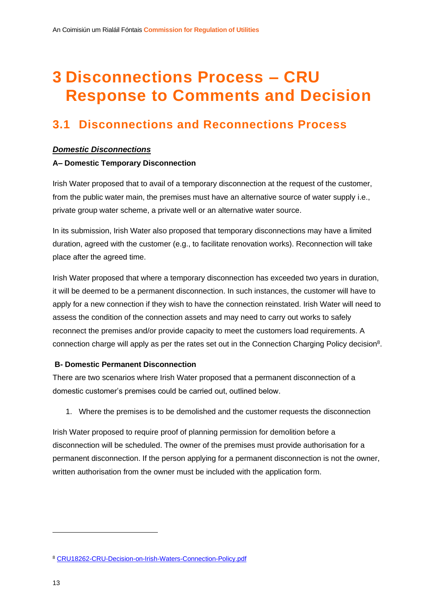## <span id="page-13-0"></span>**3 Disconnections Process – CRU Response to Comments and Decision**

### <span id="page-13-1"></span>**3.1 Disconnections and Reconnections Process**

#### *Domestic Disconnections*

#### **A– Domestic Temporary Disconnection**

Irish Water proposed that to avail of a temporary disconnection at the request of the customer, from the public water main, the premises must have an alternative source of water supply i.e., private group water scheme, a private well or an alternative water source.

In its submission, Irish Water also proposed that temporary disconnections may have a limited duration, agreed with the customer (e.g., to facilitate renovation works). Reconnection will take place after the agreed time.

Irish Water proposed that where a temporary disconnection has exceeded two years in duration, it will be deemed to be a permanent disconnection. In such instances, the customer will have to apply for a new connection if they wish to have the connection reinstated. Irish Water will need to assess the condition of the connection assets and may need to carry out works to safely reconnect the premises and/or provide capacity to meet the customers load requirements. A connection charge will apply as per the rates set out in the Connection Charging Policy decision<sup>8</sup>.

#### **B- Domestic Permanent Disconnection**

There are two scenarios where Irish Water proposed that a permanent disconnection of a domestic customer's premises could be carried out, outlined below.

1. Where the premises is to be demolished and the customer requests the disconnection

Irish Water proposed to require proof of planning permission for demolition before a disconnection will be scheduled. The owner of the premises must provide authorisation for a permanent disconnection. If the person applying for a permanent disconnection is not the owner, written authorisation from the owner must be included with the application form.

<sup>8</sup> [CRU18262-CRU-Decision-on-Irish-Waters-Connection-Policy.pdf](https://www.cru.ie/wp-content/uploads/2019/01/CRU18262-CRU-Decision-on-Irish-Waters-Connection-Policy.pdf)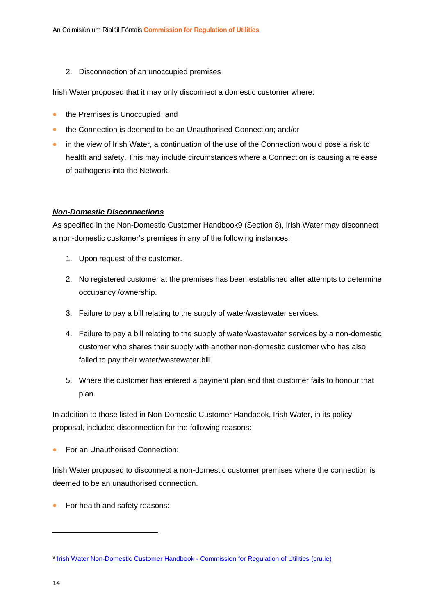2. Disconnection of an unoccupied premises

Irish Water proposed that it may only disconnect a domestic customer where:

- the Premises is Unoccupied; and
- the Connection is deemed to be an Unauthorised Connection; and/or
- in the view of Irish Water, a continuation of the use of the Connection would pose a risk to health and safety. This may include circumstances where a Connection is causing a release of pathogens into the Network.

#### *Non-Domestic Disconnections*

As specified in the Non-Domestic Customer Handbook9 (Section 8), Irish Water may disconnect a non-domestic customer's premises in any of the following instances:

- 1. Upon request of the customer.
- 2. No registered customer at the premises has been established after attempts to determine occupancy /ownership.
- 3. Failure to pay a bill relating to the supply of water/wastewater services.
- 4. Failure to pay a bill relating to the supply of water/wastewater services by a non-domestic customer who shares their supply with another non-domestic customer who has also failed to pay their water/wastewater bill.
- 5. Where the customer has entered a payment plan and that customer fails to honour that plan.

In addition to those listed in Non-Domestic Customer Handbook, Irish Water, in its policy proposal, included disconnection for the following reasons:

• For an Unauthorised Connection:

Irish Water proposed to disconnect a non-domestic customer premises where the connection is deemed to be an unauthorised connection.

• For health and safety reasons:

<sup>9</sup> [Irish Water Non-Domestic Customer Handbook -](https://www.cru.ie/document_group/irish-water-non-domestic-customer-handbook/) Commission for Regulation of Utilities (cru.ie)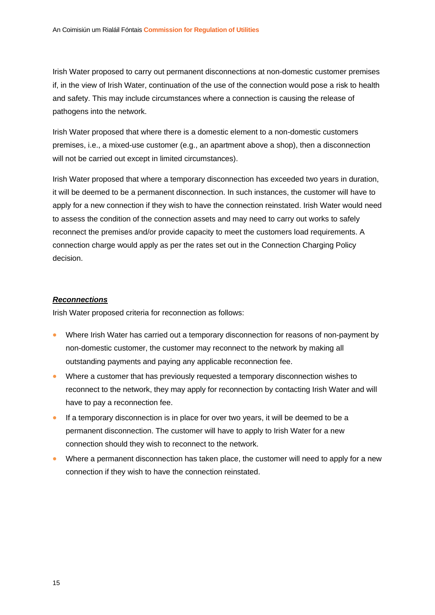Irish Water proposed to carry out permanent disconnections at non-domestic customer premises if, in the view of Irish Water, continuation of the use of the connection would pose a risk to health and safety. This may include circumstances where a connection is causing the release of pathogens into the network.

Irish Water proposed that where there is a domestic element to a non-domestic customers premises, i.e., a mixed-use customer (e.g., an apartment above a shop), then a disconnection will not be carried out except in limited circumstances).

Irish Water proposed that where a temporary disconnection has exceeded two years in duration, it will be deemed to be a permanent disconnection. In such instances, the customer will have to apply for a new connection if they wish to have the connection reinstated. Irish Water would need to assess the condition of the connection assets and may need to carry out works to safely reconnect the premises and/or provide capacity to meet the customers load requirements. A connection charge would apply as per the rates set out in the Connection Charging Policy decision.

#### *Reconnections*

Irish Water proposed criteria for reconnection as follows:

- Where Irish Water has carried out a temporary disconnection for reasons of non-payment by non-domestic customer, the customer may reconnect to the network by making all outstanding payments and paying any applicable reconnection fee.
- Where a customer that has previously requested a temporary disconnection wishes to reconnect to the network, they may apply for reconnection by contacting Irish Water and will have to pay a reconnection fee.
- If a temporary disconnection is in place for over two years, it will be deemed to be a permanent disconnection. The customer will have to apply to Irish Water for a new connection should they wish to reconnect to the network.
- Where a permanent disconnection has taken place, the customer will need to apply for a new connection if they wish to have the connection reinstated.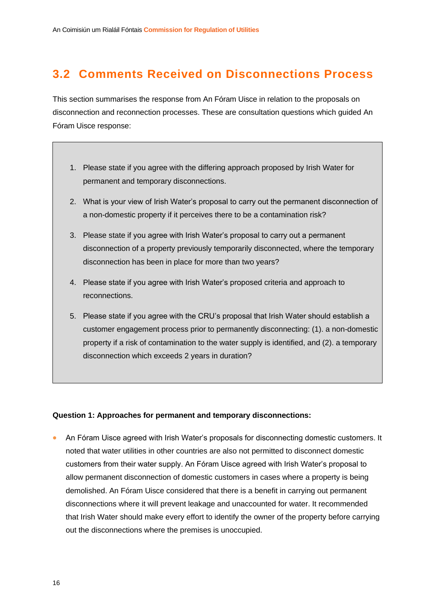## <span id="page-16-0"></span>**3.2 Comments Received on Disconnections Process**

This section summarises the response from An Fóram Uisce in relation to the proposals on disconnection and reconnection processes. These are consultation questions which guided An Fóram Uisce response:

- 1. Please state if you agree with the differing approach proposed by Irish Water for permanent and temporary disconnections.
- 2. What is your view of Irish Water's proposal to carry out the permanent disconnection of a non-domestic property if it perceives there to be a contamination risk?
- 3. Please state if you agree with Irish Water's proposal to carry out a permanent disconnection of a property previously temporarily disconnected, where the temporary disconnection has been in place for more than two years?
- 4. Please state if you agree with Irish Water's proposed criteria and approach to reconnections.
- 5. Please state if you agree with the CRU's proposal that Irish Water should establish a customer engagement process prior to permanently disconnecting: (1). a non-domestic property if a risk of contamination to the water supply is identified, and (2). a temporary disconnection which exceeds 2 years in duration?

#### **Question 1: Approaches for permanent and temporary disconnections:**

• An Fóram Uisce agreed with Irish Water's proposals for disconnecting domestic customers. It noted that water utilities in other countries are also not permitted to disconnect domestic customers from their water supply. An Fóram Uisce agreed with Irish Water's proposal to allow permanent disconnection of domestic customers in cases where a property is being demolished. An Fóram Uisce considered that there is a benefit in carrying out permanent disconnections where it will prevent leakage and unaccounted for water. It recommended that Irish Water should make every effort to identify the owner of the property before carrying out the disconnections where the premises is unoccupied.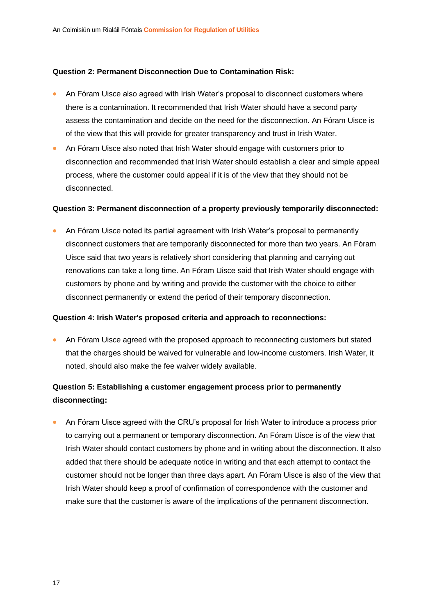#### **Question 2: Permanent Disconnection Due to Contamination Risk:**

- An Fóram Uisce also agreed with Irish Water's proposal to disconnect customers where there is a contamination. It recommended that Irish Water should have a second party assess the contamination and decide on the need for the disconnection. An Fóram Uisce is of the view that this will provide for greater transparency and trust in Irish Water.
- An Fóram Uisce also noted that Irish Water should engage with customers prior to disconnection and recommended that Irish Water should establish a clear and simple appeal process, where the customer could appeal if it is of the view that they should not be disconnected.

#### **Question 3: Permanent disconnection of a property previously temporarily disconnected:**

• An Fóram Uisce noted its partial agreement with Irish Water's proposal to permanently disconnect customers that are temporarily disconnected for more than two years. An Fóram Uisce said that two years is relatively short considering that planning and carrying out renovations can take a long time. An Fóram Uisce said that Irish Water should engage with customers by phone and by writing and provide the customer with the choice to either disconnect permanently or extend the period of their temporary disconnection.

#### **Question 4: Irish Water's proposed criteria and approach to reconnections:**

• An Fóram Uisce agreed with the proposed approach to reconnecting customers but stated that the charges should be waived for vulnerable and low-income customers. Irish Water, it noted, should also make the fee waiver widely available.

#### **Question 5: Establishing a customer engagement process prior to permanently disconnecting:**

• An Fóram Uisce agreed with the CRU's proposal for Irish Water to introduce a process prior to carrying out a permanent or temporary disconnection. An Fóram Uisce is of the view that Irish Water should contact customers by phone and in writing about the disconnection. It also added that there should be adequate notice in writing and that each attempt to contact the customer should not be longer than three days apart. An Fóram Uisce is also of the view that Irish Water should keep a proof of confirmation of correspondence with the customer and make sure that the customer is aware of the implications of the permanent disconnection.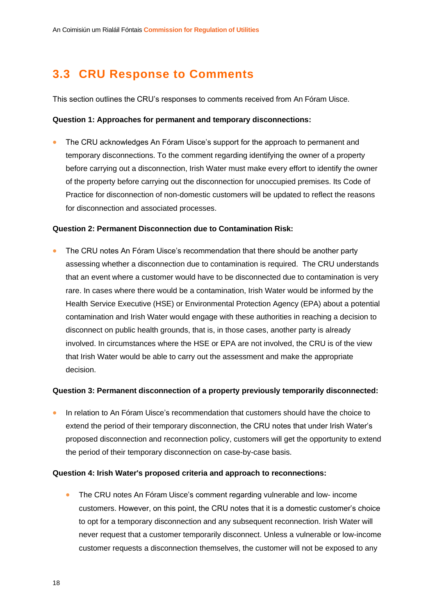## <span id="page-18-0"></span>**3.3 CRU Response to Comments**

This section outlines the CRU's responses to comments received from An Fóram Uisce.

#### **Question 1: Approaches for permanent and temporary disconnections:**

• The CRU acknowledges An Fóram Uisce's support for the approach to permanent and temporary disconnections. To the comment regarding identifying the owner of a property before carrying out a disconnection, Irish Water must make every effort to identify the owner of the property before carrying out the disconnection for unoccupied premises. Its Code of Practice for disconnection of non-domestic customers will be updated to reflect the reasons for disconnection and associated processes.

#### **Question 2: Permanent Disconnection due to Contamination Risk:**

• The CRU notes An Fóram Uisce's recommendation that there should be another party assessing whether a disconnection due to contamination is required. The CRU understands that an event where a customer would have to be disconnected due to contamination is very rare. In cases where there would be a contamination, Irish Water would be informed by the Health Service Executive (HSE) or Environmental Protection Agency (EPA) about a potential contamination and Irish Water would engage with these authorities in reaching a decision to disconnect on public health grounds, that is, in those cases, another party is already involved. In circumstances where the HSE or EPA are not involved, the CRU is of the view that Irish Water would be able to carry out the assessment and make the appropriate decision.

#### **Question 3: Permanent disconnection of a property previously temporarily disconnected:**

• In relation to An Fóram Uisce's recommendation that customers should have the choice to extend the period of their temporary disconnection, the CRU notes that under Irish Water's proposed disconnection and reconnection policy, customers will get the opportunity to extend the period of their temporary disconnection on case-by-case basis.

#### **Question 4: Irish Water's proposed criteria and approach to reconnections:**

• The CRU notes An Fóram Uisce's comment regarding vulnerable and low- income customers. However, on this point, the CRU notes that it is a domestic customer's choice to opt for a temporary disconnection and any subsequent reconnection. Irish Water will never request that a customer temporarily disconnect. Unless a vulnerable or low-income customer requests a disconnection themselves, the customer will not be exposed to any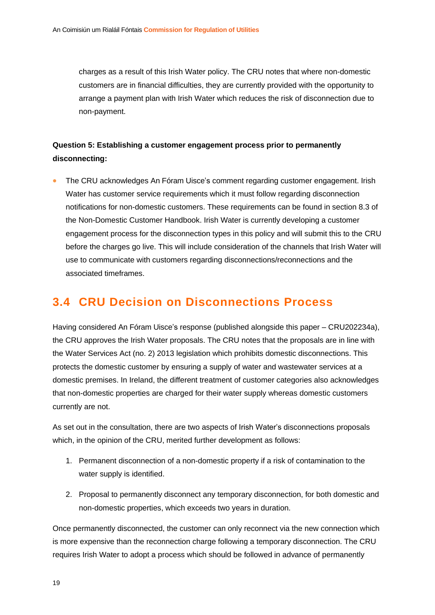charges as a result of this Irish Water policy. The CRU notes that where non-domestic customers are in financial difficulties, they are currently provided with the opportunity to arrange a payment plan with Irish Water which reduces the risk of disconnection due to non-payment.

#### **Question 5: Establishing a customer engagement process prior to permanently disconnecting:**

• The CRU acknowledges An Fóram Uisce's comment regarding customer engagement. Irish Water has customer service requirements which it must follow regarding disconnection notifications for non-domestic customers. These requirements can be found in section 8.3 of the Non-Domestic Customer Handbook. Irish Water is currently developing a customer engagement process for the disconnection types in this policy and will submit this to the CRU before the charges go live. This will include consideration of the channels that Irish Water will use to communicate with customers regarding disconnections/reconnections and the associated timeframes.

### <span id="page-19-0"></span>**3.4 CRU Decision on Disconnections Process**

Having considered An Fóram Uisce's response (published alongside this paper – CRU202234a), the CRU approves the Irish Water proposals. The CRU notes that the proposals are in line with the Water Services Act (no. 2) 2013 legislation which prohibits domestic disconnections. This protects the domestic customer by ensuring a supply of water and wastewater services at a domestic premises. In Ireland, the different treatment of customer categories also acknowledges that non-domestic properties are charged for their water supply whereas domestic customers currently are not.

As set out in the consultation, there are two aspects of Irish Water's disconnections proposals which, in the opinion of the CRU, merited further development as follows:

- 1. Permanent disconnection of a non-domestic property if a risk of contamination to the water supply is identified.
- 2. Proposal to permanently disconnect any temporary disconnection, for both domestic and non-domestic properties, which exceeds two years in duration.

Once permanently disconnected, the customer can only reconnect via the new connection which is more expensive than the reconnection charge following a temporary disconnection. The CRU requires Irish Water to adopt a process which should be followed in advance of permanently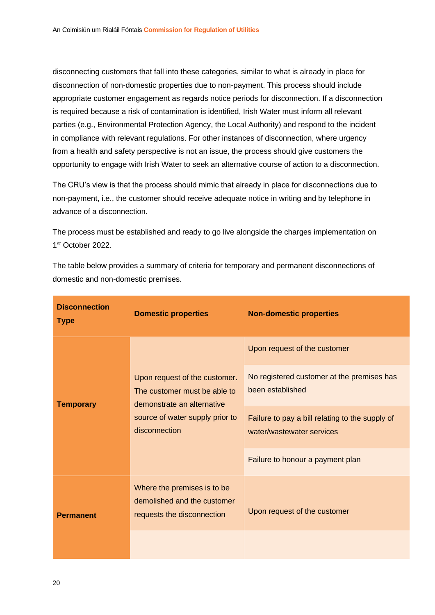disconnecting customers that fall into these categories, similar to what is already in place for disconnection of non-domestic properties due to non-payment. This process should include appropriate customer engagement as regards notice periods for disconnection. If a disconnection is required because a risk of contamination is identified, Irish Water must inform all relevant parties (e.g., Environmental Protection Agency, the Local Authority) and respond to the incident in compliance with relevant regulations. For other instances of disconnection, where urgency from a health and safety perspective is not an issue, the process should give customers the opportunity to engage with Irish Water to seek an alternative course of action to a disconnection.

The CRU's view is that the process should mimic that already in place for disconnections due to non-payment, i.e., the customer should receive adequate notice in writing and by telephone in advance of a disconnection.

The process must be established and ready to go live alongside the charges implementation on 1 st October 2022.

The table below provides a summary of criteria for temporary and permanent disconnections of domestic and non-domestic premises.

| <b>Disconnection</b><br><b>Type</b> | <b>Domestic properties</b>                                                                                                                      | <b>Non-domestic properties</b>                                               |  |
|-------------------------------------|-------------------------------------------------------------------------------------------------------------------------------------------------|------------------------------------------------------------------------------|--|
|                                     | Upon request of the customer.<br>The customer must be able to<br>demonstrate an alternative<br>source of water supply prior to<br>disconnection | Upon request of the customer                                                 |  |
| <b>Temporary</b>                    |                                                                                                                                                 | No registered customer at the premises has<br>been established               |  |
|                                     |                                                                                                                                                 | Failure to pay a bill relating to the supply of<br>water/wastewater services |  |
|                                     |                                                                                                                                                 | Failure to honour a payment plan                                             |  |
| <b>Permanent</b>                    | Where the premises is to be<br>demolished and the customer<br>requests the disconnection                                                        | Upon request of the customer                                                 |  |
|                                     |                                                                                                                                                 |                                                                              |  |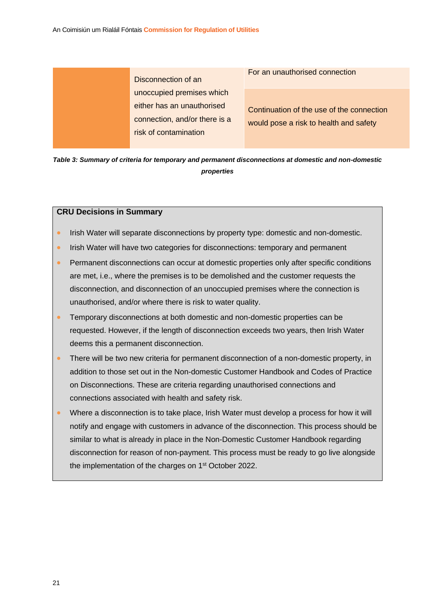Disconnection of an unoccupied premises which either has an unauthorised connection, and/or there is a risk of contamination

For an unauthorised connection

Continuation of the use of the connection would pose a risk to health and safety

*Table 3: Summary of criteria for temporary and permanent disconnections at domestic and non-domestic properties*

#### **CRU Decisions in Summary**

- Irish Water will separate disconnections by property type: domestic and non-domestic.
- Irish Water will have two categories for disconnections: temporary and permanent
- Permanent disconnections can occur at domestic properties only after specific conditions are met, i.e., where the premises is to be demolished and the customer requests the disconnection, and disconnection of an unoccupied premises where the connection is unauthorised, and/or where there is risk to water quality.
- Temporary disconnections at both domestic and non-domestic properties can be requested. However, if the length of disconnection exceeds two years, then Irish Water deems this a permanent disconnection.
- There will be two new criteria for permanent disconnection of a non-domestic property, in addition to those set out in the Non-domestic Customer Handbook and Codes of Practice on Disconnections. These are criteria regarding unauthorised connections and connections associated with health and safety risk.
- Where a disconnection is to take place, Irish Water must develop a process for how it will notify and engage with customers in advance of the disconnection. This process should be similar to what is already in place in the Non-Domestic Customer Handbook regarding disconnection for reason of non-payment. This process must be ready to go live alongside the implementation of the charges on 1<sup>st</sup> October 2022.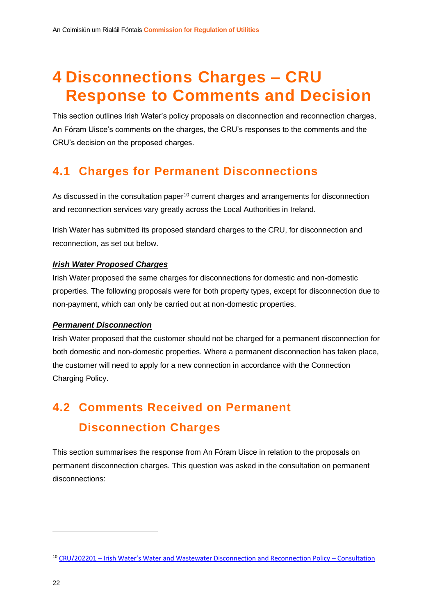## <span id="page-22-0"></span>**4 Disconnections Charges – CRU Response to Comments and Decision**

This section outlines Irish Water's policy proposals on disconnection and reconnection charges, An Fóram Uisce's comments on the charges, the CRU's responses to the comments and the CRU's decision on the proposed charges.

### <span id="page-22-1"></span>**4.1 Charges for Permanent Disconnections**

As discussed in the consultation paper<sup>10</sup> current charges and arrangements for disconnection and reconnection services vary greatly across the Local Authorities in Ireland.

Irish Water has submitted its proposed standard charges to the CRU, for disconnection and reconnection, as set out below.

#### *Irish Water Proposed Charges*

Irish Water proposed the same charges for disconnections for domestic and non-domestic properties. The following proposals were for both property types, except for disconnection due to non-payment, which can only be carried out at non-domestic properties.

#### *Permanent Disconnection*

Irish Water proposed that the customer should not be charged for a permanent disconnection for both domestic and non-domestic properties. Where a permanent disconnection has taken place, the customer will need to apply for a new connection in accordance with the Connection Charging Policy.

## <span id="page-22-2"></span>**4.2 Comments Received on Permanent Disconnection Charges**

This section summarises the response from An Fóram Uisce in relation to the proposals on permanent disconnection charges. This question was asked in the consultation on permanent disconnections:

<sup>10</sup> CRU/202201 – [Irish Water's Water and Wastewater Disconnection and Reconnection Policy –](https://www.cru.ie/wp-content/uploads/2022/01/CRU202201-Consultation-on-Irish-Waters-Water-and-Wastewater-Disconnection-and-Reconnection-Policy.pdf) Consultation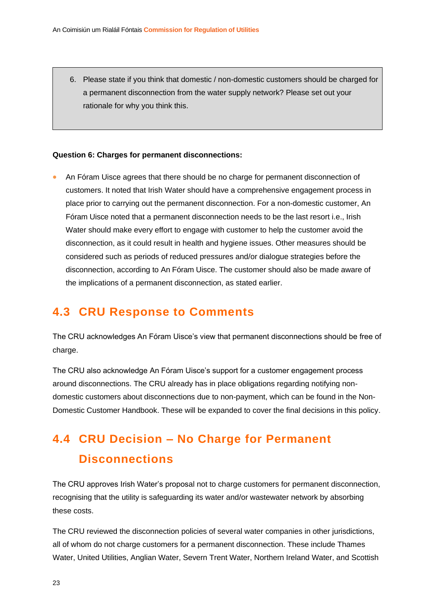6. Please state if you think that domestic / non-domestic customers should be charged for a permanent disconnection from the water supply network? Please set out your rationale for why you think this.

#### **Question 6: Charges for permanent disconnections:**

• An Fóram Uisce agrees that there should be no charge for permanent disconnection of customers. It noted that Irish Water should have a comprehensive engagement process in place prior to carrying out the permanent disconnection. For a non-domestic customer, An Fóram Uisce noted that a permanent disconnection needs to be the last resort i.e., Irish Water should make every effort to engage with customer to help the customer avoid the disconnection, as it could result in health and hygiene issues. Other measures should be considered such as periods of reduced pressures and/or dialogue strategies before the disconnection, according to An Fóram Uisce. The customer should also be made aware of the implications of a permanent disconnection, as stated earlier.

### <span id="page-23-0"></span>**4.3 CRU Response to Comments**

The CRU acknowledges An Fóram Uisce's view that permanent disconnections should be free of charge.

The CRU also acknowledge An Fóram Uisce's support for a customer engagement process around disconnections. The CRU already has in place obligations regarding notifying nondomestic customers about disconnections due to non-payment, which can be found in the Non-Domestic Customer Handbook. These will be expanded to cover the final decisions in this policy.

## <span id="page-23-1"></span>**4.4 CRU Decision – No Charge for Permanent Disconnections**

The CRU approves Irish Water's proposal not to charge customers for permanent disconnection, recognising that the utility is safeguarding its water and/or wastewater network by absorbing these costs.

The CRU reviewed the disconnection policies of several water companies in other jurisdictions, all of whom do not charge customers for a permanent disconnection. These include Thames Water, United Utilities, Anglian Water, Severn Trent Water, Northern Ireland Water, and Scottish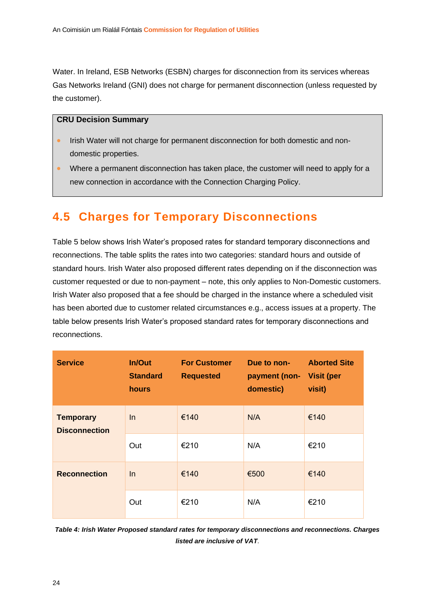Water. In Ireland, ESB Networks (ESBN) charges for disconnection from its services whereas Gas Networks Ireland (GNI) does not charge for permanent disconnection (unless requested by the customer).

#### **CRU Decision Summary**

- Irish Water will not charge for permanent disconnection for both domestic and nondomestic properties.
- Where a permanent disconnection has taken place, the customer will need to apply for a new connection in accordance with the Connection Charging Policy.

### <span id="page-24-0"></span>**4.5 Charges for Temporary Disconnections**

Table 5 below shows Irish Water's proposed rates for standard temporary disconnections and reconnections. The table splits the rates into two categories: standard hours and outside of standard hours. Irish Water also proposed different rates depending on if the disconnection was customer requested or due to non-payment – note, this only applies to Non-Domestic customers. Irish Water also proposed that a fee should be charged in the instance where a scheduled visit has been aborted due to customer related circumstances e.g., access issues at a property. The table below presents Irish Water's proposed standard rates for temporary disconnections and reconnections.

| <b>Service</b>                           | <b>In/Out</b><br><b>Standard</b><br>hours | <b>For Customer</b><br><b>Requested</b> | Due to non-<br>payment (non- Visit (per<br>domestic) | <b>Aborted Site</b><br>visit) |
|------------------------------------------|-------------------------------------------|-----------------------------------------|------------------------------------------------------|-------------------------------|
| <b>Temporary</b><br><b>Disconnection</b> | In                                        | €140                                    | N/A                                                  | €140                          |
|                                          | Out                                       | €210                                    | N/A                                                  | €210                          |
| <b>Reconnection</b>                      | $\ln$                                     | €140                                    | €500                                                 | €140                          |
|                                          | Out                                       | €210                                    | N/A                                                  | €210                          |

*Table 4: Irish Water Proposed standard rates for temporary disconnections and reconnections. Charges listed are inclusive of VAT.*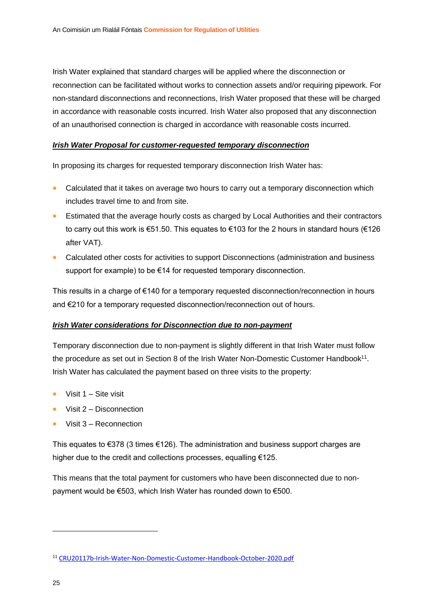Irish Water explained that standard charges will be applied where the disconnection or reconnection can be facilitated without works to connection assets and/or requiring pipework. For non-standard disconnections and reconnections, Irish Water proposed that these will be charged in accordance with reasonable costs incurred. Irish Water also proposed that any disconnection of an unauthorised connection is charged in accordance with reasonable costs incurred.

#### *Irish Water Proposal for customer-requested temporary disconnection*

In proposing its charges for requested temporary disconnection Irish Water has:

- Calculated that it takes on average two hours to carry out a temporary disconnection which includes travel time to and from site.
- Estimated that the average hourly costs as charged by Local Authorities and their contractors to carry out this work is €51.50. This equates to €103 for the 2 hours in standard hours (€126 after VAT).
- Calculated other costs for activities to support Disconnections (administration and business support for example) to be €14 for requested temporary disconnection.

This results in a charge of €140 for a temporary requested disconnection/reconnection in hours and €210 for a temporary requested disconnection/reconnection out of hours.

#### *Irish Water considerations for Disconnection due to non-payment*

Temporary disconnection due to non-payment is slightly different in that Irish Water must follow the procedure as set out in Section 8 of the Irish Water Non-Domestic Customer Handbook<sup>11</sup>. Irish Water has calculated the payment based on three visits to the property:

- Visit  $1 -$  Site visit
- Visit 2 Disconnection
- Visit 3 Reconnection

This equates to  $\epsilon$ 378 (3 times  $\epsilon$ 126). The administration and business support charges are higher due to the credit and collections processes, equalling €125.

This means that the total payment for customers who have been disconnected due to nonpayment would be €503, which Irish Water has rounded down to €500.

<sup>11</sup> [CRU20117b-Irish-Water-Non-Domestic-Customer-Handbook-October-2020.pdf](https://www.cru.ie/wp-content/uploads/2020/12/CRU20117b-Irish-Water-Non-Domestic-Customer-Handbook-October-2020.pdf)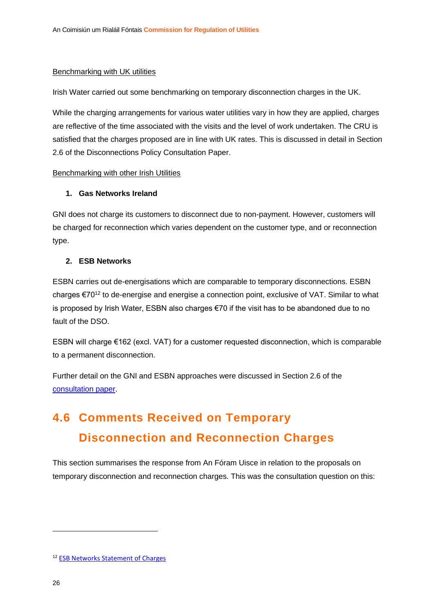#### Benchmarking with UK utilities

Irish Water carried out some benchmarking on temporary disconnection charges in the UK.

While the charging arrangements for various water utilities vary in how they are applied, charges are reflective of the time associated with the visits and the level of work undertaken. The CRU is satisfied that the charges proposed are in line with UK rates. This is discussed in detail in Section 2.6 of the Disconnections Policy Consultation Paper.

#### Benchmarking with other Irish Utilities

#### **1. Gas Networks Ireland**

GNI does not charge its customers to disconnect due to non-payment. However, customers will be charged for reconnection which varies dependent on the customer type, and or reconnection type.

#### **2. ESB Networks**

ESBN carries out de-energisations which are comparable to temporary disconnections. ESBN charges €70<sup>12</sup> to de-energise and energise a connection point, exclusive of VAT. Similar to what is proposed by Irish Water, ESBN also charges €70 if the visit has to be abandoned due to no fault of the DSO.

ESBN will charge €162 (excl. VAT) for a customer requested disconnection, which is comparable to a permanent disconnection.

Further detail on the GNI and ESBN approaches were discussed in Section 2.6 of the [consultation paper.](https://www.cru.ie/wp-content/uploads/2022/01/CRU202201-Consultation-on-Irish-Waters-Water-and-Wastewater-Disconnection-and-Reconnection-Policy.pdf)

## <span id="page-26-0"></span>**4.6 Comments Received on Temporary Disconnection and Reconnection Charges**

This section summarises the response from An Fóram Uisce in relation to the proposals on temporary disconnection and reconnection charges. This was the consultation question on this:

<sup>12</sup> [ESB Networks Statement of Charges](https://www.esbnetworks.ie/docs/default-source/publications/esb-networks-dac-statement-of-charges.pdf?sfvrsn=ff1cd7e3_24)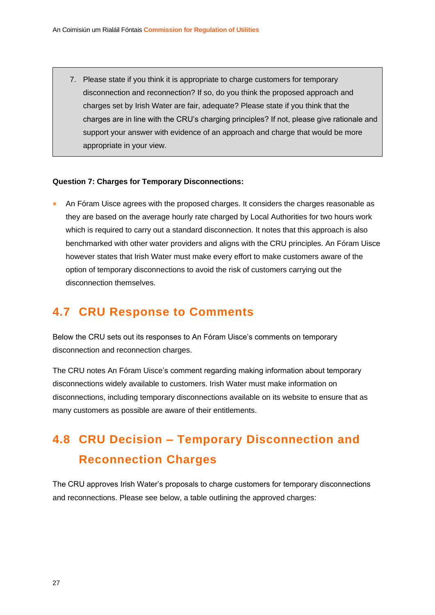7. Please state if you think it is appropriate to charge customers for temporary disconnection and reconnection? If so, do you think the proposed approach and charges set by Irish Water are fair, adequate? Please state if you think that the charges are in line with the CRU's charging principles? If not, please give rationale and support your answer with evidence of an approach and charge that would be more appropriate in your view.

#### **Question 7: Charges for Temporary Disconnections:**

• An Fóram Uisce agrees with the proposed charges. It considers the charges reasonable as they are based on the average hourly rate charged by Local Authorities for two hours work which is required to carry out a standard disconnection. It notes that this approach is also benchmarked with other water providers and aligns with the CRU principles. An Fóram Uisce however states that Irish Water must make every effort to make customers aware of the option of temporary disconnections to avoid the risk of customers carrying out the disconnection themselves.

### <span id="page-27-0"></span>**4.7 CRU Response to Comments**

Below the CRU sets out its responses to An Fóram Uisce's comments on temporary disconnection and reconnection charges.

The CRU notes An Fóram Uisce's comment regarding making information about temporary disconnections widely available to customers. Irish Water must make information on disconnections, including temporary disconnections available on its website to ensure that as many customers as possible are aware of their entitlements.

## <span id="page-27-1"></span>**4.8 CRU Decision – Temporary Disconnection and Reconnection Charges**

The CRU approves Irish Water's proposals to charge customers for temporary disconnections and reconnections. Please see below, a table outlining the approved charges: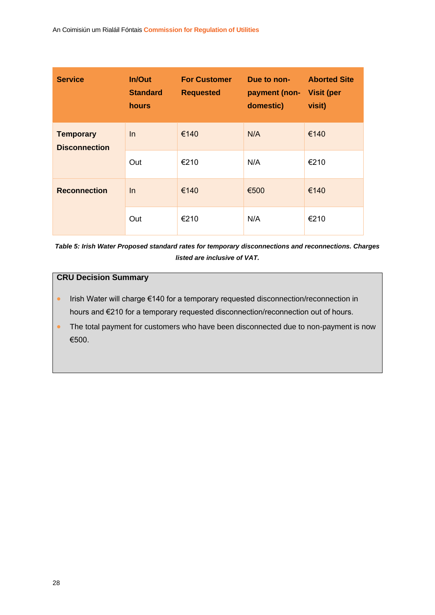| <b>Service</b>                           | In/Out<br><b>Standard</b><br><b>hours</b> | <b>For Customer</b><br><b>Requested</b> | Due to non-<br>payment (non- Visit (per<br>domestic) | <b>Aborted Site</b><br>visit) |
|------------------------------------------|-------------------------------------------|-----------------------------------------|------------------------------------------------------|-------------------------------|
| <b>Temporary</b><br><b>Disconnection</b> | $\ln$                                     | €140                                    | N/A                                                  | €140                          |
|                                          | Out                                       | €210                                    | N/A                                                  | €210                          |
| <b>Reconnection</b>                      | $\ln$                                     | €140                                    | €500                                                 | €140                          |
|                                          | Out                                       | €210                                    | N/A                                                  | €210                          |

*Table 5: Irish Water Proposed standard rates for temporary disconnections and reconnections. Charges listed are inclusive of VAT.*

#### **CRU Decision Summary**

- Irish Water will charge €140 for a temporary requested disconnection/reconnection in hours and €210 for a temporary requested disconnection/reconnection out of hours.
- The total payment for customers who have been disconnected due to non-payment is now €500.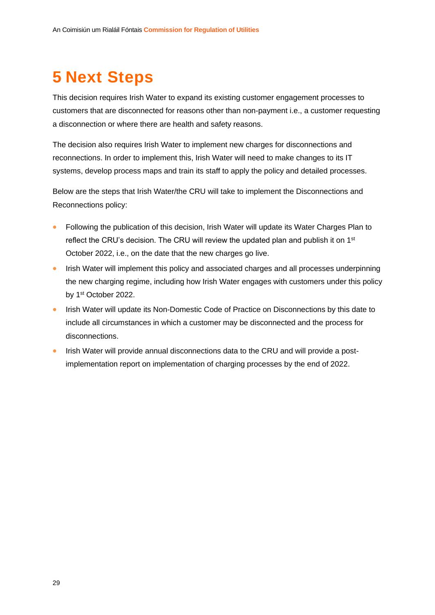## <span id="page-29-0"></span>**5 Next Steps**

This decision requires Irish Water to expand its existing customer engagement processes to customers that are disconnected for reasons other than non-payment i.e., a customer requesting a disconnection or where there are health and safety reasons.

The decision also requires Irish Water to implement new charges for disconnections and reconnections. In order to implement this, Irish Water will need to make changes to its IT systems, develop process maps and train its staff to apply the policy and detailed processes.

Below are the steps that Irish Water/the CRU will take to implement the Disconnections and Reconnections policy:

- Following the publication of this decision, Irish Water will update its Water Charges Plan to reflect the CRU's decision. The CRU will review the updated plan and publish it on 1<sup>st</sup> October 2022, i.e., on the date that the new charges go live.
- Irish Water will implement this policy and associated charges and all processes underpinning the new charging regime, including how Irish Water engages with customers under this policy by 1st October 2022.
- Irish Water will update its Non-Domestic Code of Practice on Disconnections by this date to include all circumstances in which a customer may be disconnected and the process for disconnections.
- Irish Water will provide annual disconnections data to the CRU and will provide a postimplementation report on implementation of charging processes by the end of 2022.